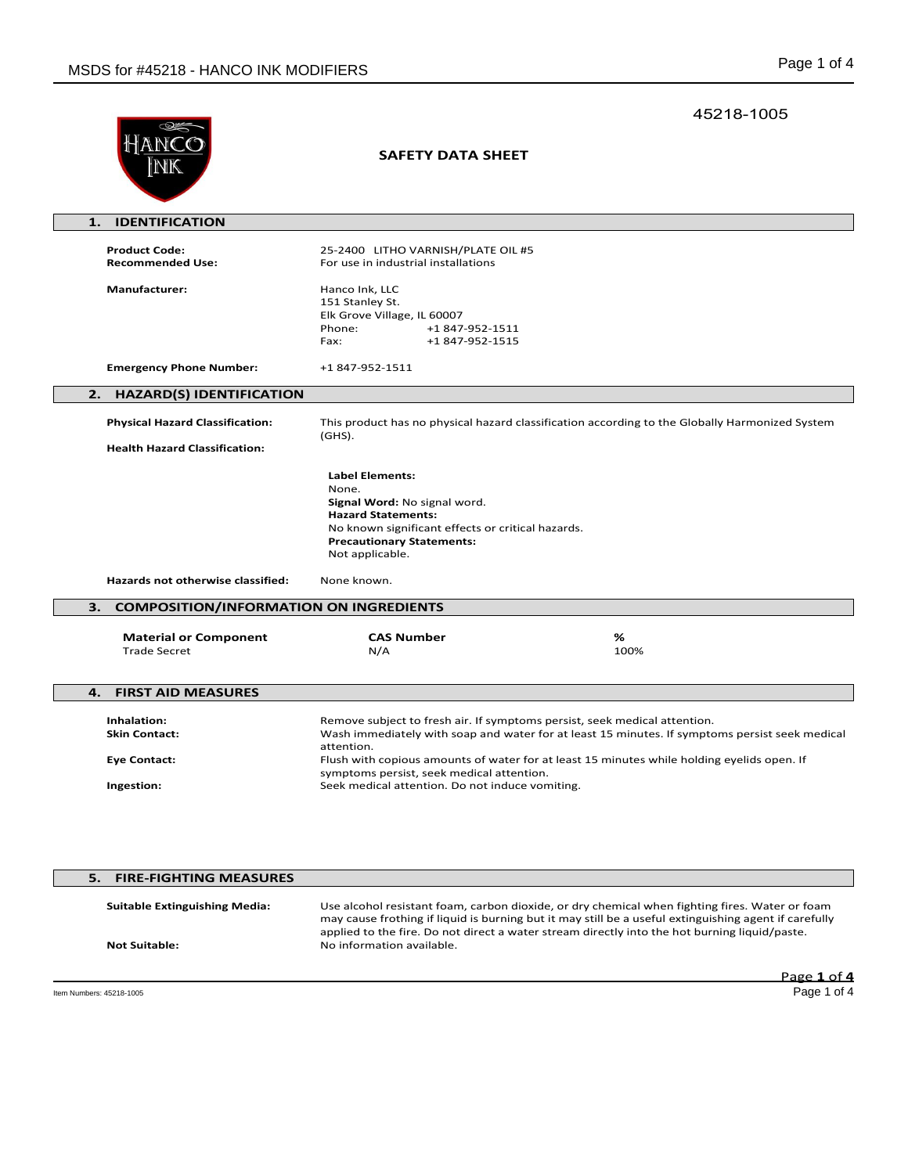|                                                                   |                                                                                                                                                                                                          | 45218-1005                                                                                                                                                                                                                                                                                               |
|-------------------------------------------------------------------|----------------------------------------------------------------------------------------------------------------------------------------------------------------------------------------------------------|----------------------------------------------------------------------------------------------------------------------------------------------------------------------------------------------------------------------------------------------------------------------------------------------------------|
| HANCC                                                             | <b>SAFETY DATA SHEET</b>                                                                                                                                                                                 |                                                                                                                                                                                                                                                                                                          |
| <b>IDENTIFICATION</b><br>1.                                       |                                                                                                                                                                                                          |                                                                                                                                                                                                                                                                                                          |
| <b>Product Code:</b><br><b>Recommended Use:</b>                   | 25-2400 LITHO VARNISH/PLATE OIL #5<br>For use in industrial installations                                                                                                                                |                                                                                                                                                                                                                                                                                                          |
| <b>Manufacturer:</b>                                              | Hanco Ink, LLC<br>151 Stanley St.<br>Elk Grove Village, IL 60007<br>Phone:<br>+1 847-952-1511<br>+1 847-952-1515<br>Fax:                                                                                 |                                                                                                                                                                                                                                                                                                          |
| <b>Emergency Phone Number:</b>                                    | +1 847-952-1511                                                                                                                                                                                          |                                                                                                                                                                                                                                                                                                          |
| 2.<br><b>HAZARD(S) IDENTIFICATION</b>                             |                                                                                                                                                                                                          |                                                                                                                                                                                                                                                                                                          |
| <b>Physical Hazard Classification:</b>                            |                                                                                                                                                                                                          | This product has no physical hazard classification according to the Globally Harmonized System                                                                                                                                                                                                           |
| <b>Health Hazard Classification:</b>                              | $(GHS)$ .                                                                                                                                                                                                |                                                                                                                                                                                                                                                                                                          |
|                                                                   | <b>Label Elements:</b><br>None.<br>Signal Word: No signal word.<br><b>Hazard Statements:</b><br>No known significant effects or critical hazards.<br><b>Precautionary Statements:</b><br>Not applicable. |                                                                                                                                                                                                                                                                                                          |
| Hazards not otherwise classified:                                 | None known.                                                                                                                                                                                              |                                                                                                                                                                                                                                                                                                          |
| З.<br><b>COMPOSITION/INFORMATION ON INGREDIENTS</b>               |                                                                                                                                                                                                          |                                                                                                                                                                                                                                                                                                          |
| <b>Material or Component</b><br><b>Trade Secret</b>               | <b>CAS Number</b><br>N/A                                                                                                                                                                                 | %<br>100%                                                                                                                                                                                                                                                                                                |
| <b>FIRST AID MEASURES</b><br>4.                                   |                                                                                                                                                                                                          |                                                                                                                                                                                                                                                                                                          |
| Inhalation:<br><b>Skin Contact:</b><br>Eye Contact:<br>Ingestion: | attention.<br>symptoms persist, seek medical attention.<br>Seek medical attention. Do not induce vomiting.                                                                                               | Remove subject to fresh air. If symptoms persist, seek medical attention.<br>Wash immediately with soap and water for at least 15 minutes. If symptoms persist seek medical<br>Flush with copious amounts of water for at least 15 minutes while holding eyelids open. If                                |
| 5.<br><b>FIRE-FIGHTING MEASURES</b>                               |                                                                                                                                                                                                          |                                                                                                                                                                                                                                                                                                          |
| <b>Suitable Extinguishing Media:</b>                              |                                                                                                                                                                                                          | Use alcohol resistant foam, carbon dioxide, or dry chemical when fighting fires. Water or foam<br>may cause frothing if liquid is burning but it may still be a useful extinguishing agent if carefully<br>applied to the fire. Do not direct a water stream directly into the hot burning liquid/paste. |

**Not Suitable:** No information available.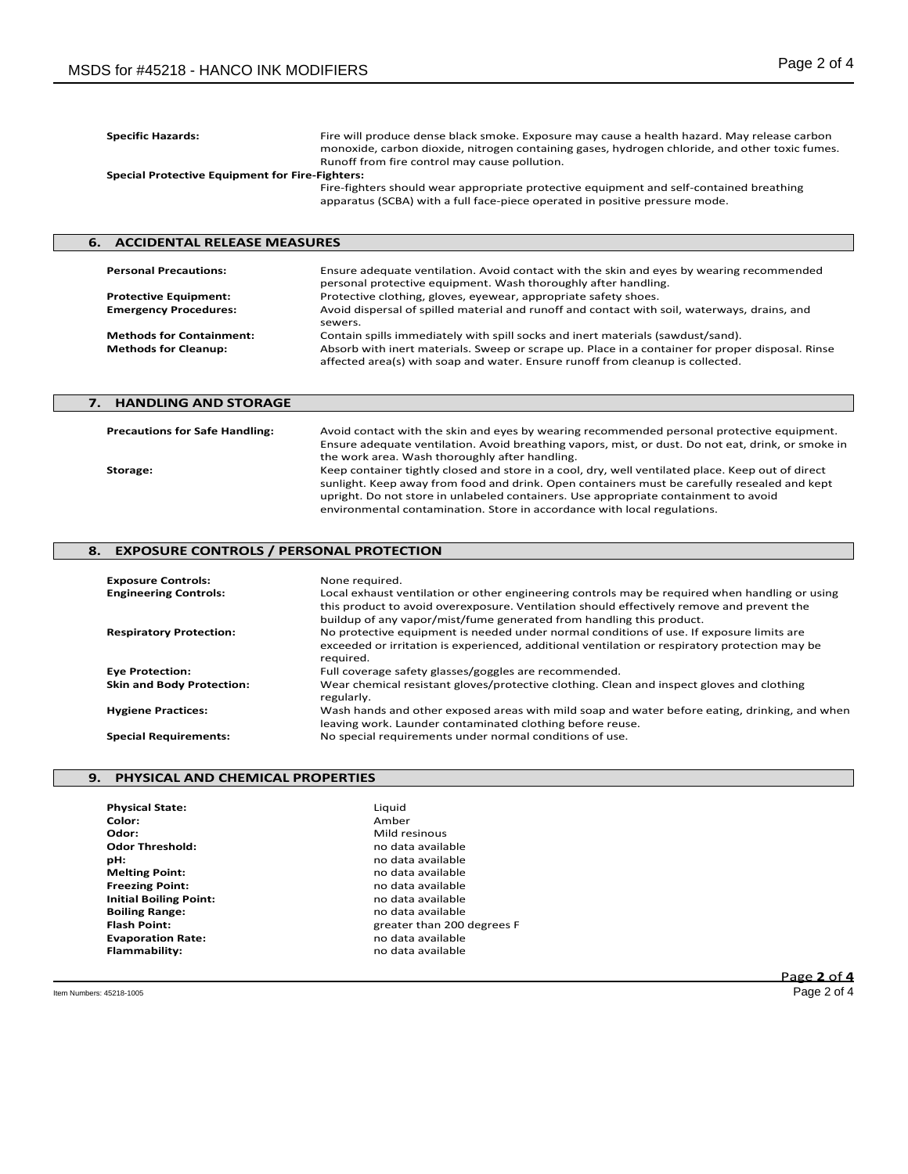| <b>Specific Hazards:</b><br><b>Special Protective Equipment for Fire-Fighters:</b> | Fire will produce dense black smoke. Exposure may cause a health hazard. May release carbon<br>monoxide, carbon dioxide, nitrogen containing gases, hydrogen chloride, and other toxic fumes.<br>Runoff from fire control may cause pollution. |
|------------------------------------------------------------------------------------|------------------------------------------------------------------------------------------------------------------------------------------------------------------------------------------------------------------------------------------------|
|                                                                                    | Fire-fighters should wear appropriate protective equipment and self-contained breathing<br>apparatus (SCBA) with a full face-piece operated in positive pressure mode.                                                                         |
| <b>6. ACCIDENTAL RELEASE MEASURES</b>                                              |                                                                                                                                                                                                                                                |

| <b>Personal Precautions:</b>                                   | Ensure adequate ventilation. Avoid contact with the skin and eyes by wearing recommended<br>personal protective equipment. Wash thoroughly after handling.                                                                                                            |
|----------------------------------------------------------------|-----------------------------------------------------------------------------------------------------------------------------------------------------------------------------------------------------------------------------------------------------------------------|
| <b>Protective Equipment:</b>                                   | Protective clothing, gloves, eyewear, appropriate safety shoes.                                                                                                                                                                                                       |
| <b>Emergency Procedures:</b>                                   | Avoid dispersal of spilled material and runoff and contact with soil, waterways, drains, and<br>sewers.                                                                                                                                                               |
| <b>Methods for Containment:</b><br><b>Methods for Cleanup:</b> | Contain spills immediately with spill socks and inert materials (sawdust/sand).<br>Absorb with inert materials. Sweep or scrape up. Place in a container for proper disposal. Rinse<br>affected area(s) with soap and water. Ensure runoff from cleanup is collected. |

| 7. HANDLING AND STORAGE               |                                                                                                                                                                                                                                                                                                                                                                      |
|---------------------------------------|----------------------------------------------------------------------------------------------------------------------------------------------------------------------------------------------------------------------------------------------------------------------------------------------------------------------------------------------------------------------|
| <b>Precautions for Safe Handling:</b> | Avoid contact with the skin and eyes by wearing recommended personal protective equipment.                                                                                                                                                                                                                                                                           |
|                                       | Ensure adequate ventilation. Avoid breathing vapors, mist, or dust. Do not eat, drink, or smoke in<br>the work area. Wash thoroughly after handling.                                                                                                                                                                                                                 |
| Storage:                              | Keep container tightly closed and store in a cool, dry, well ventilated place. Keep out of direct<br>sunlight. Keep away from food and drink. Open containers must be carefully resealed and kept<br>upright. Do not store in unlabeled containers. Use appropriate containment to avoid<br>environmental contamination. Store in accordance with local regulations. |

# **8. EXPOSURE CONTROLS / PERSONAL PROTECTION**

| <b>Exposure Controls:</b>        | None required.                                                                                 |
|----------------------------------|------------------------------------------------------------------------------------------------|
| <b>Engineering Controls:</b>     | Local exhaust ventilation or other engineering controls may be required when handling or using |
|                                  | this product to avoid overexposure. Ventilation should effectively remove and prevent the      |
|                                  | buildup of any vapor/mist/fume generated from handling this product.                           |
| <b>Respiratory Protection:</b>   | No protective equipment is needed under normal conditions of use. If exposure limits are       |
|                                  | exceeded or irritation is experienced, additional ventilation or respiratory protection may be |
|                                  | reauired.                                                                                      |
| <b>Eye Protection:</b>           | Full coverage safety glasses/goggles are recommended.                                          |
| <b>Skin and Body Protection:</b> | Wear chemical resistant gloves/protective clothing. Clean and inspect gloves and clothing      |
|                                  | regularly.                                                                                     |
| <b>Hygiene Practices:</b>        | Wash hands and other exposed areas with mild soap and water before eating, drinking, and when  |
|                                  | leaving work. Launder contaminated clothing before reuse.                                      |
| <b>Special Requirements:</b>     | No special requirements under normal conditions of use.                                        |

# **9. PHYSICAL AND CHEMICAL PROPERTIES**

| <b>Physical State:</b>        | Liquid                     |
|-------------------------------|----------------------------|
| Color:                        | Amber                      |
| Odor:                         | Mild resinous              |
| <b>Odor Threshold:</b>        | no data available          |
| pH:                           | no data available          |
| <b>Melting Point:</b>         | no data available          |
| <b>Freezing Point:</b>        | no data available          |
| <b>Initial Boiling Point:</b> | no data available          |
| <b>Boiling Range:</b>         | no data available          |
| <b>Flash Point:</b>           | greater than 200 degrees F |
| <b>Evaporation Rate:</b>      | no data available          |
| Flammability:                 | no data available          |
|                               |                            |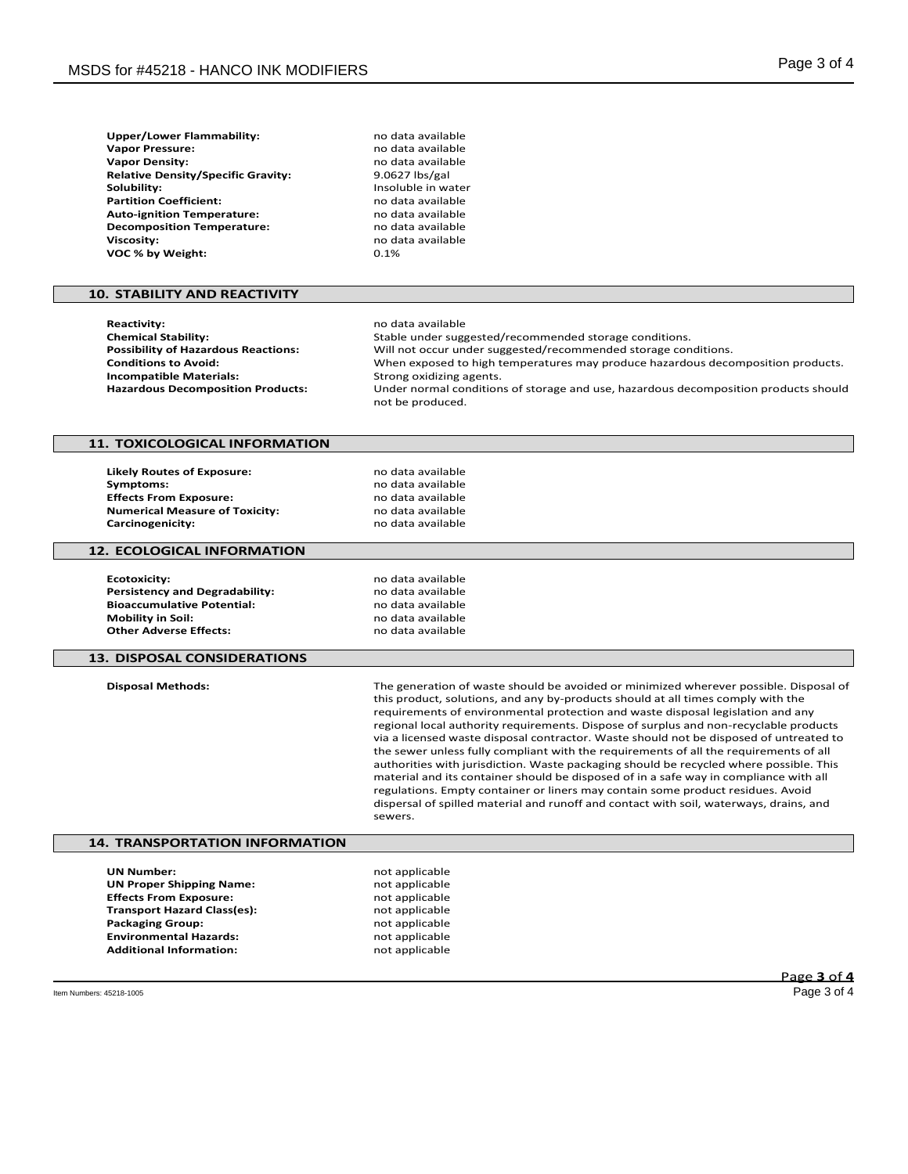**Upper/Lower Flammability:** no data available<br> **Vapor Pressure:** no data available **Vapor Pressure:** Natural Communist Communist Communist Communist Communist Communist Communist Communist Communist Communist Communist Communist Communist Communist Communist Communist Communist Communist Communist Commun **Relative Density/Specific Gravity:** 9.0627 lbs/gal<br>**Solubility:** Insoluble in wa **Partition Coefficient: Auto-ignition Temperature:** no data available<br> **Decomposition Temperature:** no data available **Decomposition Temperature: Viscosity:** no data available<br> **VOC % by Weight:** 0.1% 0.1% **VOC % by Weight:** 0.1%

# **10. STABILITY AND REACTIVITY**

| <b>Reactivity:</b>                         | no data available                                                                                       |
|--------------------------------------------|---------------------------------------------------------------------------------------------------------|
| <b>Chemical Stability:</b>                 | Stable under suggested/recommended storage conditions.                                                  |
| <b>Possibility of Hazardous Reactions:</b> | Will not occur under suggested/recommended storage conditions.                                          |
| <b>Conditions to Avoid:</b>                | When exposed to high temperatures may produce hazardous decomposition products.                         |
| <b>Incompatible Materials:</b>             | Strong oxidizing agents.                                                                                |
| <b>Hazardous Decomposition Products:</b>   | Under normal conditions of storage and use, hazardous decomposition products should<br>not be produced. |

# **11. TOXICOLOGICAL INFORMATION**

**Likely Routes of Exposure:** no data available<br>**Symptoms:** no data available **Effects From Exposure:** no data available<br> **Numerical Measure of Toxicity:** no data available **Numerical Measure of Toxicity:**<br>Carcinogenicity:

**Symptoms:** no data available **Carcinogenicity:** no data available

**UN Number:** not applicable not applicable **Effects From Exposure:** not applicable **Transport Hazard Class(es):** not applicable **Packaging Group:** not applicable **Environmental Hazards:** not applicable **Additional Information:** not applicable

**Vapor Density:** no data available

**Insoluble in water**<br>no data available

### **12. ECOLOGICAL INFORMATION**

**Ecotoxicity: Continuing Ecotoxicity: no data available Persistency and Degradability:** no data available **Bioaccumulative Potential:** no data available<br> **Mobility in Soil:** no data available **Mobility in Soil:** no data available<br> **Other Adverse Effects:** no data available **Other Adverse Effects:** 

# **13. DISPOSAL CONSIDERATIONS**

**Disposal Methods:** The generation of waste should be avoided or minimized wherever possible. Disposal of this product, solutions, and any by-products should at all times comply with the requirements of environmental protection and waste disposal legislation and any regional local authority requirements. Dispose of surplus and non-recyclable products via a licensed waste disposal contractor. Waste should not be disposed of untreated to the sewer unless fully compliant with the requirements of all the requirements of all authorities with jurisdiction. Waste packaging should be recycled where possible. This material and its container should be disposed of in a safe way in compliance with all regulations. Empty container or liners may contain some product residues. Avoid dispersal of spilled material and runoff and contact with soil, waterways, drains, and sewers.

# **14. TRANSPORTATION INFORMATION**

| <b>UN Number:</b>                  |  |
|------------------------------------|--|
| <b>UN Proper Shipping Name:</b>    |  |
| <b>Effects From Exposure:</b>      |  |
| <b>Transport Hazard Class(es):</b> |  |
| <b>Packaging Group:</b>            |  |
| <b>Environmental Hazards:</b>      |  |
| <b>Additional Information:</b>     |  |